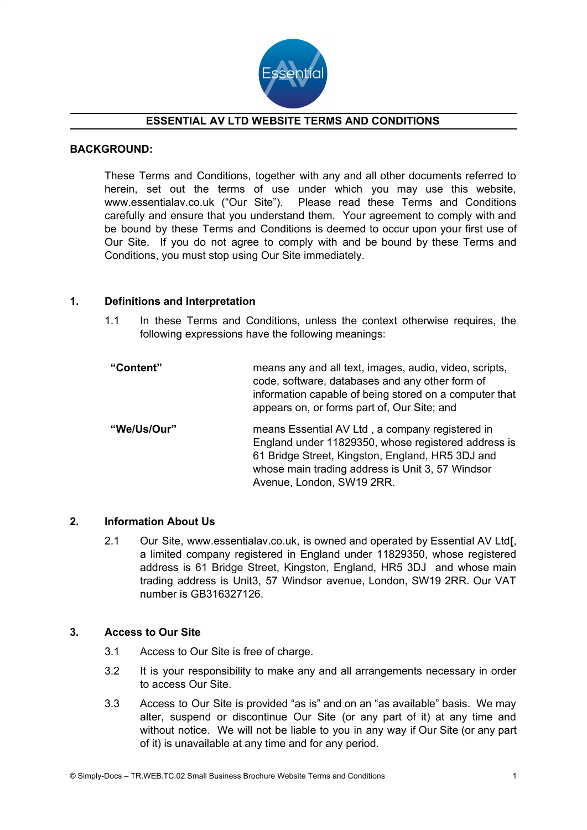

# **ESSENTIAL AV LTD WEBSITE TERMS AND CONDITIONS**

### **BACKGROUND:**

These Terms and Conditions, together with any and all other documents referred to herein, set out the terms of use under which you may use this website, www.essentialav.co.uk ("Our Site"). Please read these Terms and Conditions carefully and ensure that you understand them. Your agreement to comply with and be bound by these Terms and Conditions is deemed to occur upon your first use of Our Site. If you do not agree to comply with and be bound by these Terms and Conditions, you must stop using Our Site immediately.

### **1. Definitions and Interpretation**

1.1 In these Terms and Conditions, unless the context otherwise requires, the following expressions have the following meanings:

| "Content"   | means any and all text, images, audio, video, scripts,<br>code, software, databases and any other form of<br>information capable of being stored on a computer that<br>appears on, or forms part of, Our Site; and                          |
|-------------|---------------------------------------------------------------------------------------------------------------------------------------------------------------------------------------------------------------------------------------------|
| "We/Us/Our" | means Essential AV Ltd, a company registered in<br>England under 11829350, whose registered address is<br>61 Bridge Street, Kingston, England, HR5 3DJ and<br>whose main trading address is Unit 3, 57 Windsor<br>Avenue, London, SW19 2RR. |

#### **2. Information About Us**

2.1 Our Site, www.essentialav.co.uk, is owned and operated by Essential AV Ltd**[**, a limited company registered in England under 11829350, whose registered address is 61 Bridge Street, Kingston, England, HR5 3DJ and whose main trading address is Unit3, 57 Windsor avenue, London, SW19 2RR. Our VAT number is GB316327126.

#### **3. Access to Our Site**

- 3.1 Access to Our Site is free of charge.
- 3.2 It is your responsibility to make any and all arrangements necessary in order to access Our Site.
- 3.3 Access to Our Site is provided "as is" and on an "as available" basis. We may alter, suspend or discontinue Our Site (or any part of it) at any time and without notice. We will not be liable to you in any way if Our Site (or any part of it) is unavailable at any time and for any period.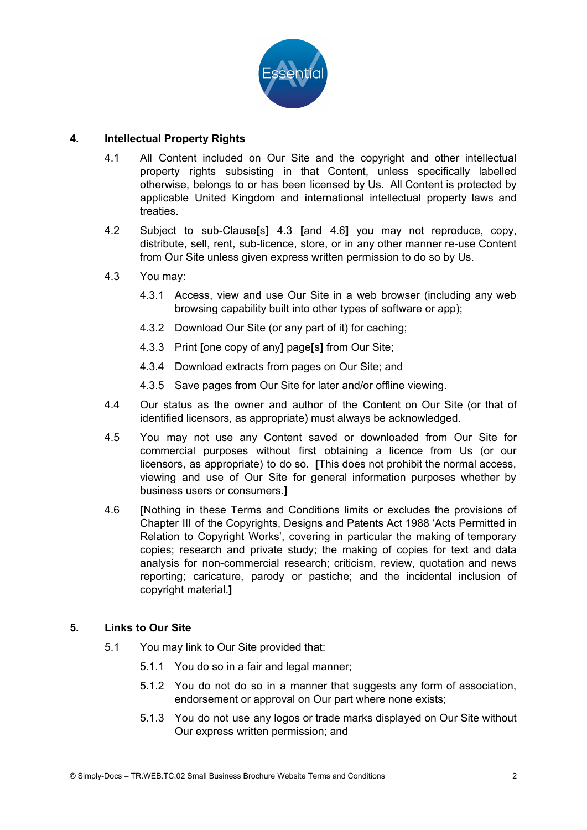

# **4. Intellectual Property Rights**

- 4.1 All Content included on Our Site and the copyright and other intellectual property rights subsisting in that Content, unless specifically labelled otherwise, belongs to or has been licensed by Us. All Content is protected by applicable United Kingdom and international intellectual property laws and treaties.
- 4.2 Subject to sub-Clause**[**s**]** 4.3 **[**and 4.6**]** you may not reproduce, copy, distribute, sell, rent, sub-licence, store, or in any other manner re-use Content from Our Site unless given express written permission to do so by Us.
- 4.3 You may:
	- 4.3.1 Access, view and use Our Site in a web browser (including any web browsing capability built into other types of software or app);
	- 4.3.2 Download Our Site (or any part of it) for caching;
	- 4.3.3 Print **[**one copy of any**]** page**[**s**]** from Our Site;
	- 4.3.4 Download extracts from pages on Our Site; and
	- 4.3.5 Save pages from Our Site for later and/or offline viewing.
- 4.4 Our status as the owner and author of the Content on Our Site (or that of identified licensors, as appropriate) must always be acknowledged.
- 4.5 You may not use any Content saved or downloaded from Our Site for commercial purposes without first obtaining a licence from Us (or our licensors, as appropriate) to do so. **[**This does not prohibit the normal access, viewing and use of Our Site for general information purposes whether by business users or consumers.**]**
- 4.6 **[**Nothing in these Terms and Conditions limits or excludes the provisions of Chapter III of the Copyrights, Designs and Patents Act 1988 'Acts Permitted in Relation to Copyright Works', covering in particular the making of temporary copies; research and private study; the making of copies for text and data analysis for non-commercial research; criticism, review, quotation and news reporting; caricature, parody or pastiche; and the incidental inclusion of copyright material.**]**

## **5. Links to Our Site**

- 5.1 You may link to Our Site provided that:
	- 5.1.1 You do so in a fair and legal manner;
	- 5.1.2 You do not do so in a manner that suggests any form of association, endorsement or approval on Our part where none exists;
	- 5.1.3 You do not use any logos or trade marks displayed on Our Site without Our express written permission; and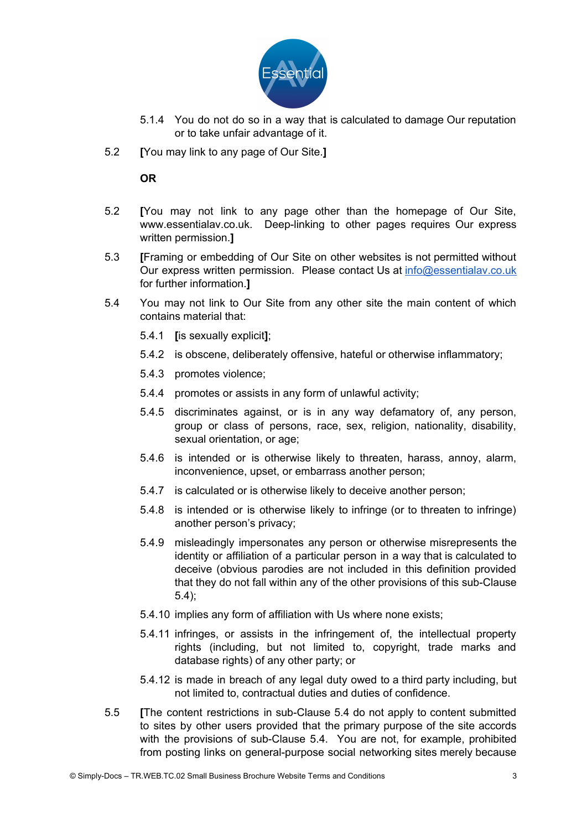

- 5.1.4 You do not do so in a way that is calculated to damage Our reputation or to take unfair advantage of it.
- 5.2 **[**You may link to any page of Our Site.**]**

**OR**

- 5.2 **[**You may not link to any page other than the homepage of Our Site, www.essentialav.co.uk. Deep-linking to other pages requires Our express written permission.**]**
- 5.3 **[**Framing or embedding of Our Site on other websites is not permitted without Our express written permission. Please contact Us at [info@essentialav.co.uk](mailto:info@essentialav.co.uk) for further information.**]**
- 5.4 You may not link to Our Site from any other site the main content of which contains material that:
	- 5.4.1 **[**is sexually explicit**]**;
	- 5.4.2 is obscene, deliberately offensive, hateful or otherwise inflammatory;
	- 5.4.3 promotes violence;
	- 5.4.4 promotes or assists in any form of unlawful activity;
	- 5.4.5 discriminates against, or is in any way defamatory of, any person, group or class of persons, race, sex, religion, nationality, disability, sexual orientation, or age;
	- 5.4.6 is intended or is otherwise likely to threaten, harass, annoy, alarm, inconvenience, upset, or embarrass another person;
	- 5.4.7 is calculated or is otherwise likely to deceive another person;
	- 5.4.8 is intended or is otherwise likely to infringe (or to threaten to infringe) another person's privacy;
	- 5.4.9 misleadingly impersonates any person or otherwise misrepresents the identity or affiliation of a particular person in a way that is calculated to deceive (obvious parodies are not included in this definition provided that they do not fall within any of the other provisions of this sub-Clause 5.4);
	- 5.4.10 implies any form of affiliation with Us where none exists;
	- 5.4.11 infringes, or assists in the infringement of, the intellectual property rights (including, but not limited to, copyright, trade marks and database rights) of any other party; or
	- 5.4.12 is made in breach of any legal duty owed to a third party including, but not limited to, contractual duties and duties of confidence.
- 5.5 **[**The content restrictions in sub-Clause 5.4 do not apply to content submitted to sites by other users provided that the primary purpose of the site accords with the provisions of sub-Clause 5.4. You are not, for example, prohibited from posting links on general-purpose social networking sites merely because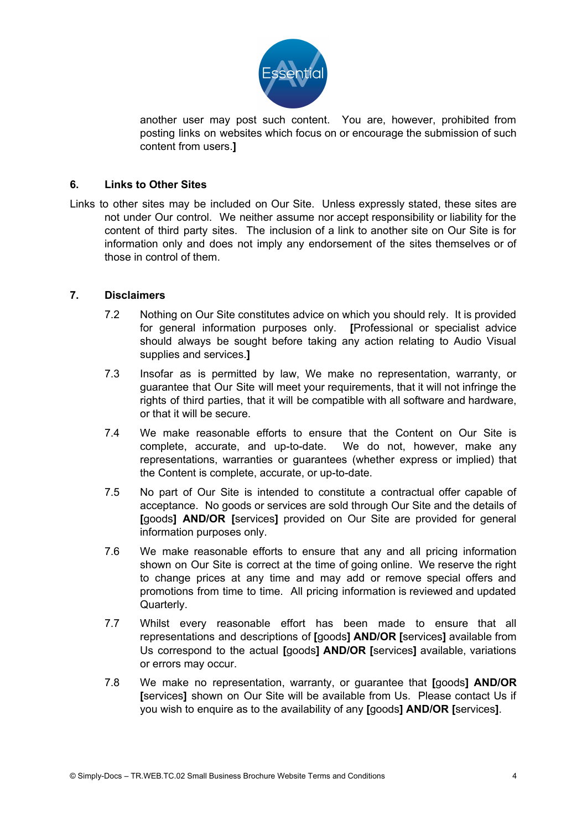

another user may post such content. You are, however, prohibited from posting links on websites which focus on or encourage the submission of such content from users.**]**

## **6. Links to Other Sites**

Links to other sites may be included on Our Site. Unless expressly stated, these sites are not under Our control. We neither assume nor accept responsibility or liability for the content of third party sites. The inclusion of a link to another site on Our Site is for information only and does not imply any endorsement of the sites themselves or of those in control of them.

## **7. Disclaimers**

- 7.2 Nothing on Our Site constitutes advice on which you should rely. It is provided for general information purposes only. **[**Professional or specialist advice should always be sought before taking any action relating to Audio Visual supplies and services.**]**
- 7.3 Insofar as is permitted by law, We make no representation, warranty, or guarantee that Our Site will meet your requirements, that it will not infringe the rights of third parties, that it will be compatible with all software and hardware, or that it will be secure.
- 7.4 We make reasonable efforts to ensure that the Content on Our Site is complete, accurate, and up-to-date. We do not, however, make any representations, warranties or guarantees (whether express or implied) that the Content is complete, accurate, or up-to-date.
- 7.5 No part of Our Site is intended to constitute a contractual offer capable of acceptance. No goods or services are sold through Our Site and the details of **[**goods**] AND/OR [**services**]** provided on Our Site are provided for general information purposes only.
- 7.6 We make reasonable efforts to ensure that any and all pricing information shown on Our Site is correct at the time of going online. We reserve the right to change prices at any time and may add or remove special offers and promotions from time to time. All pricing information is reviewed and updated Quarterly.
- 7.7 Whilst every reasonable effort has been made to ensure that all representations and descriptions of **[**goods**] AND/OR [**services**]** available from Us correspond to the actual **[**goods**] AND/OR [**services**]** available, variations or errors may occur.
- 7.8 We make no representation, warranty, or guarantee that **[**goods**] AND/OR [**services**]** shown on Our Site will be available from Us. Please contact Us if you wish to enquire as to the availability of any **[**goods**] AND/OR [**services**]**.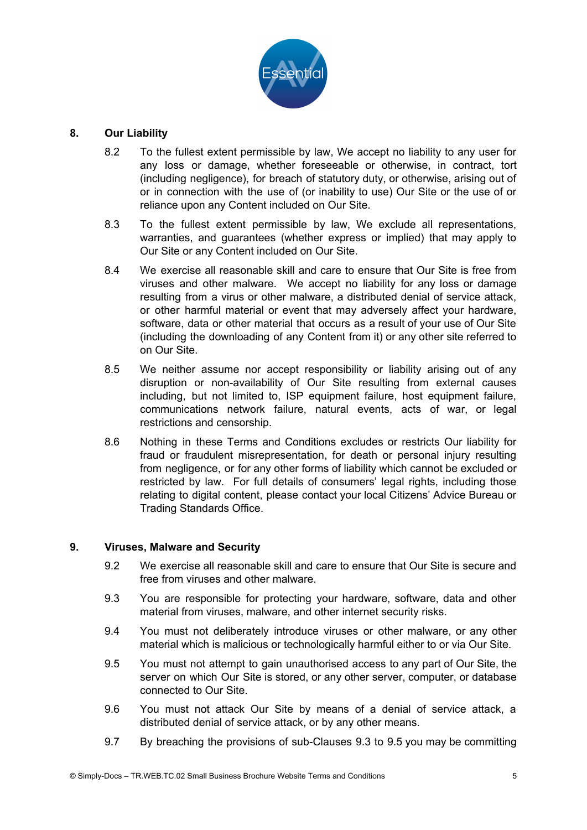

## **8. Our Liability**

- 8.2 To the fullest extent permissible by law, We accept no liability to any user for any loss or damage, whether foreseeable or otherwise, in contract, tort (including negligence), for breach of statutory duty, or otherwise, arising out of or in connection with the use of (or inability to use) Our Site or the use of or reliance upon any Content included on Our Site.
- 8.3 To the fullest extent permissible by law, We exclude all representations, warranties, and guarantees (whether express or implied) that may apply to Our Site or any Content included on Our Site.
- 8.4 We exercise all reasonable skill and care to ensure that Our Site is free from viruses and other malware. We accept no liability for any loss or damage resulting from a virus or other malware, a distributed denial of service attack, or other harmful material or event that may adversely affect your hardware, software, data or other material that occurs as a result of your use of Our Site (including the downloading of any Content from it) or any other site referred to on Our Site.
- 8.5 We neither assume nor accept responsibility or liability arising out of any disruption or non-availability of Our Site resulting from external causes including, but not limited to, ISP equipment failure, host equipment failure, communications network failure, natural events, acts of war, or legal restrictions and censorship.
- 8.6 Nothing in these Terms and Conditions excludes or restricts Our liability for fraud or fraudulent misrepresentation, for death or personal injury resulting from negligence, or for any other forms of liability which cannot be excluded or restricted by law. For full details of consumers' legal rights, including those relating to digital content, please contact your local Citizens' Advice Bureau or Trading Standards Office.

## **9. Viruses, Malware and Security**

- 9.2 We exercise all reasonable skill and care to ensure that Our Site is secure and free from viruses and other malware.
- 9.3 You are responsible for protecting your hardware, software, data and other material from viruses, malware, and other internet security risks.
- 9.4 You must not deliberately introduce viruses or other malware, or any other material which is malicious or technologically harmful either to or via Our Site.
- 9.5 You must not attempt to gain unauthorised access to any part of Our Site, the server on which Our Site is stored, or any other server, computer, or database connected to Our Site.
- 9.6 You must not attack Our Site by means of a denial of service attack, a distributed denial of service attack, or by any other means.
- 9.7 By breaching the provisions of sub-Clauses 9.3 to 9.5 you may be committing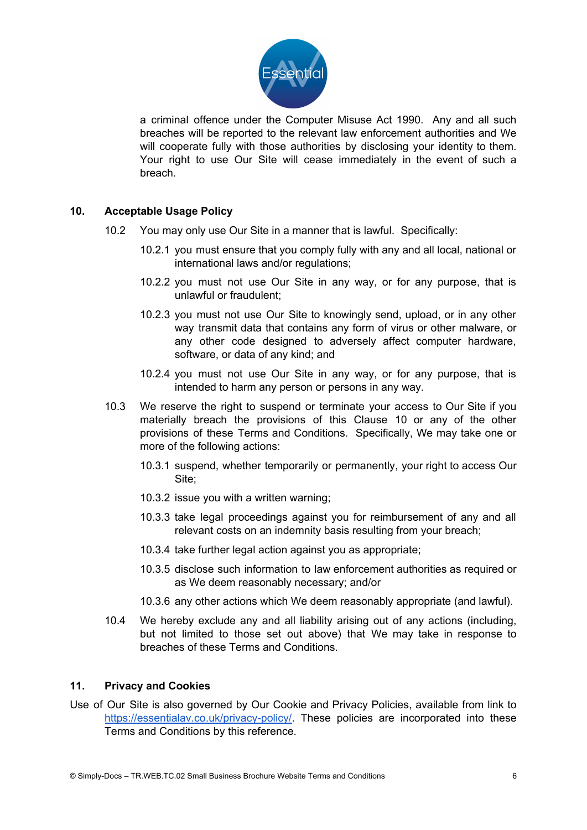

a criminal offence under the Computer Misuse Act 1990. Any and all such breaches will be reported to the relevant law enforcement authorities and We will cooperate fully with those authorities by disclosing your identity to them. Your right to use Our Site will cease immediately in the event of such a breach.

# **10. Acceptable Usage Policy**

- 10.2 You may only use Our Site in a manner that is lawful. Specifically:
	- 10.2.1 you must ensure that you comply fully with any and all local, national or international laws and/or regulations;
	- 10.2.2 you must not use Our Site in any way, or for any purpose, that is unlawful or fraudulent;
	- 10.2.3 you must not use Our Site to knowingly send, upload, or in any other way transmit data that contains any form of virus or other malware, or any other code designed to adversely affect computer hardware, software, or data of any kind; and
	- 10.2.4 you must not use Our Site in any way, or for any purpose, that is intended to harm any person or persons in any way.
- 10.3 We reserve the right to suspend or terminate your access to Our Site if you materially breach the provisions of this Clause 10 or any of the other provisions of these Terms and Conditions. Specifically, We may take one or more of the following actions:
	- 10.3.1 suspend, whether temporarily or permanently, your right to access Our Site;
	- 10.3.2 issue you with a written warning;
	- 10.3.3 take legal proceedings against you for reimbursement of any and all relevant costs on an indemnity basis resulting from your breach;
	- 10.3.4 take further legal action against you as appropriate;
	- 10.3.5 disclose such information to law enforcement authorities as required or as We deem reasonably necessary; and/or
	- 10.3.6 any other actions which We deem reasonably appropriate (and lawful).
- 10.4 We hereby exclude any and all liability arising out of any actions (including, but not limited to those set out above) that We may take in response to breaches of these Terms and Conditions.

## **11. Privacy and Cookies**

Use of Our Site is also governed by Our Cookie and Privacy Policies, available from link to <https://essentialav.co.uk/privacy-policy/>. These policies are incorporated into these Terms and Conditions by this reference.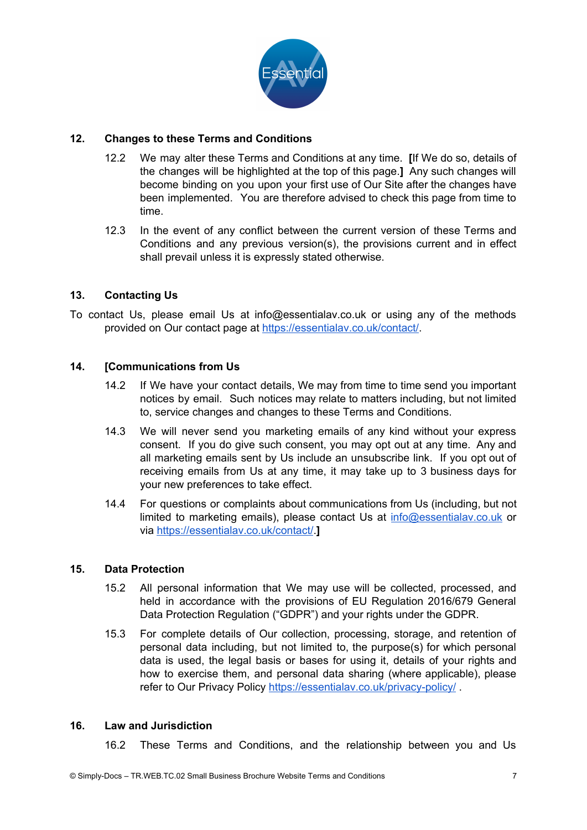

# **12. Changes to these Terms and Conditions**

- 12.2 We may alter these Terms and Conditions at any time. **[**If We do so, details of the changes will be highlighted at the top of this page.**]** Any such changes will become binding on you upon your first use of Our Site after the changes have been implemented. You are therefore advised to check this page from time to time.
- 12.3 In the event of any conflict between the current version of these Terms and Conditions and any previous version(s), the provisions current and in effect shall prevail unless it is expressly stated otherwise.

## **13. Contacting Us**

To contact Us, please email Us at info@essentialav.co.uk or using any of the methods provided on Our contact page at [https://essentialav.co.uk/contact/.](https://essentialav.co.uk/contact/)

## **14. [Communications from Us**

- 14.2 If We have your contact details, We may from time to time send you important notices by email. Such notices may relate to matters including, but not limited to, service changes and changes to these Terms and Conditions.
- 14.3 We will never send you marketing emails of any kind without your express consent. If you do give such consent, you may opt out at any time. Any and all marketing emails sent by Us include an unsubscribe link. If you opt out of receiving emails from Us at any time, it may take up to 3 business days for your new preferences to take effect.
- 14.4 For questions or complaints about communications from Us (including, but not limited to marketing emails), please contact Us at [info@essentialav.co.uk](mailto:info@essentialav.co.uk) or via <https://essentialav.co.uk/contact/>.**]**

## **15. Data Protection**

- 15.2 All personal information that We may use will be collected, processed, and held in accordance with the provisions of EU Regulation 2016/679 General Data Protection Regulation ("GDPR") and your rights under the GDPR.
- 15.3 For complete details of Our collection, processing, storage, and retention of personal data including, but not limited to, the purpose(s) for which personal data is used, the legal basis or bases for using it, details of your rights and how to exercise them, and personal data sharing (where applicable), please refer to Our Privacy Policy <https://essentialav.co.uk/privacy-policy/>.

## **16. Law and Jurisdiction**

16.2 These Terms and Conditions, and the relationship between you and Us